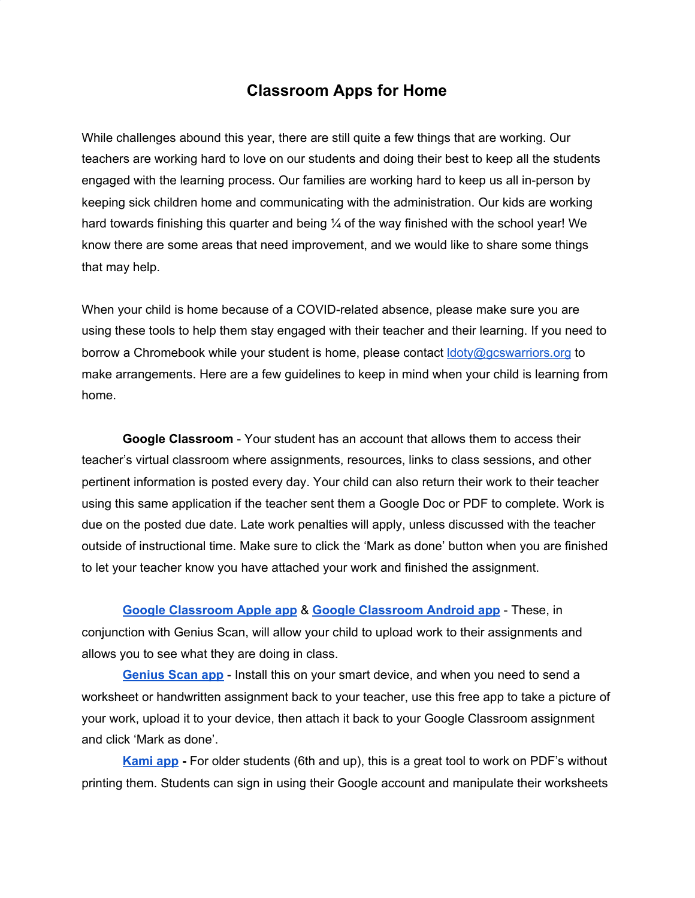## **Classroom Apps for Home**

While challenges abound this year, there are still quite a few things that are working. Our teachers are working hard to love on our students and doing their best to keep all the students engaged with the learning process. Our families are working hard to keep us all in-person by keeping sick children home and communicating with the administration. Our kids are working hard towards finishing this quarter and being  $\frac{1}{4}$  of the way finished with the school year! We know there are some areas that need improvement, and we would like to share some things that may help.

When your child is home because of a COVID-related absence, please make sure you are using these tools to help them stay engaged with their teacher and their learning. If you need to borrow a Chromebook while your student is home, please contact  $ldotimes_{\mathcal{Q}}$  doty  $\mathcal{Q}_q$  as to to make arrangements. Here are a few guidelines to keep in mind when your child is learning from home.

**Google Classroom** - Your student has an account that allows them to access their teacher's virtual classroom where assignments, resources, links to class sessions, and other pertinent information is posted every day. Your child can also return their work to their teacher using this same application if the teacher sent them a Google Doc or PDF to complete. Work is due on the posted due date. Late work penalties will apply, unless discussed with the teacher outside of instructional time. Make sure to click the 'Mark as done' button when you are finished to let your teacher know you have attached your work and finished the assignment.

**Google [Classroom](https://apps.apple.com/us/app/google-classroom/id924620788) Apple app** & **Google [Classroom](https://play.google.com/store/apps/details?id=com.google.android.apps.classroom&hl=en_US&gl=US) Android app** - These, in conjunction with Genius Scan, will allow your child to upload work to their assignments and allows you to see what they are doing in class.

**[Genius](https://thegrizzlylabs.com/genius-scan/) Scan [app](https://thegrizzlylabs.com/genius-scan/)** - Install this on your smart device, and when you need to send a worksheet or handwritten assignment back to your teacher, use this free app to take a picture of your work, upload it to your device, then attach it back to your Google Classroom assignment and click 'Mark as done'.

**[Kami](https://www.kamiapp.com/) app -** For older students (6th and up), this is a great tool to work on PDF's without printing them. Students can sign in using their Google account and manipulate their worksheets